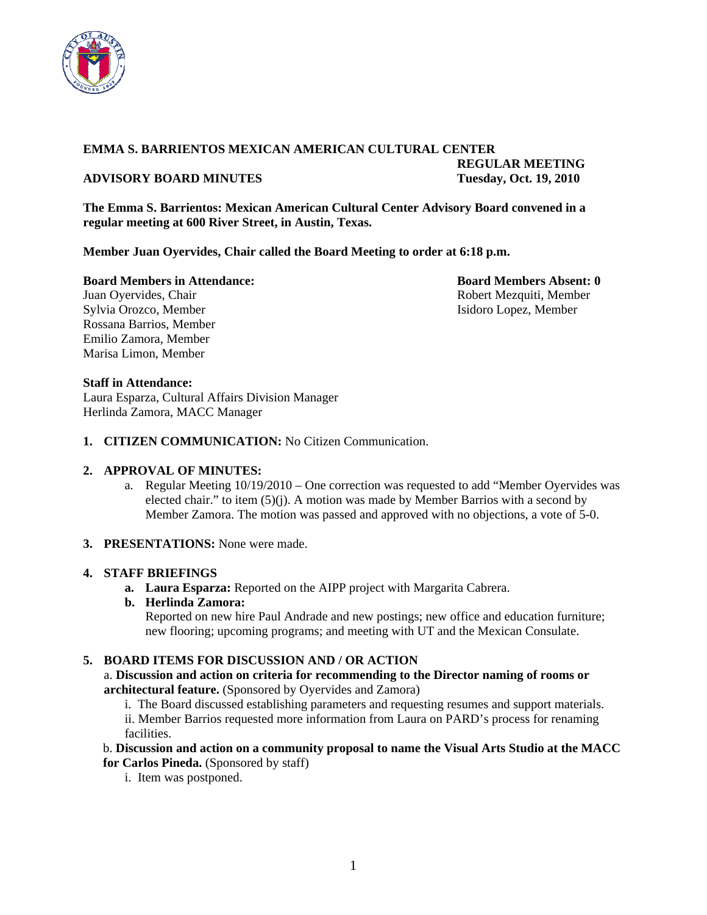

# **EMMA S. BARRIENTOS MEXICAN AMERICAN CULTURAL CENTER**

# **ADVISORY BOARD MINUTES Tuesday, Oct. 19, 2010**

 **REGULAR MEETING** 

**The Emma S. Barrientos: Mexican American Cultural Center Advisory Board convened in a regular meeting at 600 River Street, in Austin, Texas.** 

**Member Juan Oyervides, Chair called the Board Meeting to order at 6:18 p.m.** 

**Board Members in Attendance: Board Members Absent: 0 Board Members Absent: 0** 

Juan Oyervides, Chair **Robert Mezquiti, Member** Robert Mezquiti, Member Sylvia Orozco, Member Isidoro Lopez, Member Rossana Barrios, Member Emilio Zamora, Member Marisa Limon, Member

### **Staff in Attendance:**

Laura Esparza, Cultural Affairs Division Manager Herlinda Zamora, MACC Manager

**1. CITIZEN COMMUNICATION:** No Citizen Communication.

# **2. APPROVAL OF MINUTES:**

- a. Regular Meeting 10/19/2010 One correction was requested to add "Member Oyervides was elected chair." to item (5)(j). A motion was made by Member Barrios with a second by Member Zamora. The motion was passed and approved with no objections, a vote of 5-0.
- **3. PRESENTATIONS:** None were made.

#### **4. STAFF BRIEFINGS**

**a. Laura Esparza:** Reported on the AIPP project with Margarita Cabrera.

#### **b. Herlinda Zamora:**

Reported on new hire Paul Andrade and new postings; new office and education furniture; new flooring; upcoming programs; and meeting with UT and the Mexican Consulate.

# **5. BOARD ITEMS FOR DISCUSSION AND / OR ACTION**

### a. **Discussion and action on criteria for recommending to the Director naming of rooms or architectural feature.** (Sponsored by Oyervides and Zamora)

i. The Board discussed establishing parameters and requesting resumes and support materials.

ii. Member Barrios requested more information from Laura on PARD's process for renaming facilities.

b. **Discussion and action on a community proposal to name the Visual Arts Studio at the MACC for Carlos Pineda.** (Sponsored by staff)

i. Item was postponed.